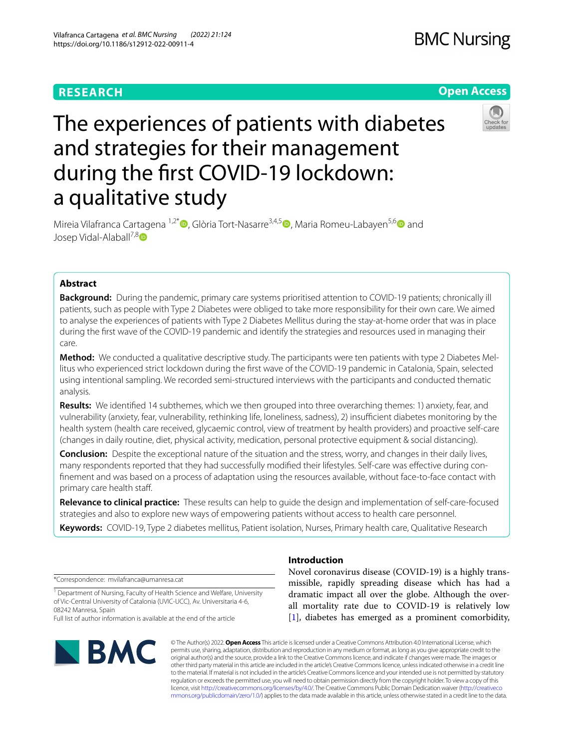# **RESEARCH**

# **Open Access**



# The experiences of patients with diabetes and strategies for their management during the frst COVID-19 lockdown: a qualitative study

Mireia Vilafranca Cartagena <sup>1[,](http://orcid.org/0000-0003-2953-3196)2\*</sup> , Glòria Tort-Nasarre<sup>3,4,[5](http://orcid.org/0000-0001-5270-821X)</sup> , Maria Romeu-Labayen<sup>5,6</sup> and Josep Vidal-Alaball<sup>7,8</sup>

# **Abstract**

**Background:** During the pandemic, primary care systems prioritised attention to COVID-19 patients; chronically ill patients, such as people with Type 2 Diabetes were obliged to take more responsibility for their own care. We aimed to analyse the experiences of patients with Type 2 Diabetes Mellitus during the stay-at-home order that was in place during the frst wave of the COVID-19 pandemic and identify the strategies and resources used in managing their care.

**Method:** We conducted a qualitative descriptive study. The participants were ten patients with type 2 Diabetes Mel‑ litus who experienced strict lockdown during the frst wave of the COVID-19 pandemic in Catalonia, Spain, selected using intentional sampling. We recorded semi-structured interviews with the participants and conducted thematic analysis.

**Results:** We identifed 14 subthemes, which we then grouped into three overarching themes: 1) anxiety, fear, and vulnerability (anxiety, fear, vulnerability, rethinking life, loneliness, sadness), 2) insufficient diabetes monitoring by the health system (health care received, glycaemic control, view of treatment by health providers) and proactive self-care (changes in daily routine, diet, physical activity, medication, personal protective equipment & social distancing).

**Conclusion:** Despite the exceptional nature of the situation and the stress, worry, and changes in their daily lives, many respondents reported that they had successfully modified their lifestyles. Self-care was effective during confnement and was based on a process of adaptation using the resources available, without face-to-face contact with primary care health staf.

**Relevance to clinical practice:** These results can help to guide the design and implementation of self-care-focused strategies and also to explore new ways of empowering patients without access to health care personnel.

**Keywords:** COVID-19, Type 2 diabetes mellitus, Patient isolation, Nurses, Primary health care, Qualitative Research

\*Correspondence: mvilafranca@umanresa.cat

<sup>1</sup> Department of Nursing, Faculty of Health Science and Welfare, University of Vic-Central University of Catalonia (UVIC-UCC), Av. Universitaria 4‑6, 08242 Manresa, Spain

Full list of author information is available at the end of the article



# **Introduction**

Novel coronavirus disease (COVID-19) is a highly transmissible, rapidly spreading disease which has had a dramatic impact all over the globe. Although the overall mortality rate due to COVID-19 is relatively low [[1\]](#page-9-0), diabetes has emerged as a prominent comorbidity,

© The Author(s) 2022. **Open Access** This article is licensed under a Creative Commons Attribution 4.0 International License, which permits use, sharing, adaptation, distribution and reproduction in any medium or format, as long as you give appropriate credit to the original author(s) and the source, provide a link to the Creative Commons licence, and indicate if changes were made. The images or other third party material in this article are included in the article's Creative Commons licence, unless indicated otherwise in a credit line to the material. If material is not included in the article's Creative Commons licence and your intended use is not permitted by statutory regulation or exceeds the permitted use, you will need to obtain permission directly from the copyright holder. To view a copy of this licence, visit [http://creativecommons.org/licenses/by/4.0/.](http://creativecommons.org/licenses/by/4.0/) The Creative Commons Public Domain Dedication waiver ([http://creativeco](http://creativecommons.org/publicdomain/zero/1.0/) [mmons.org/publicdomain/zero/1.0/](http://creativecommons.org/publicdomain/zero/1.0/)) applies to the data made available in this article, unless otherwise stated in a credit line to the data.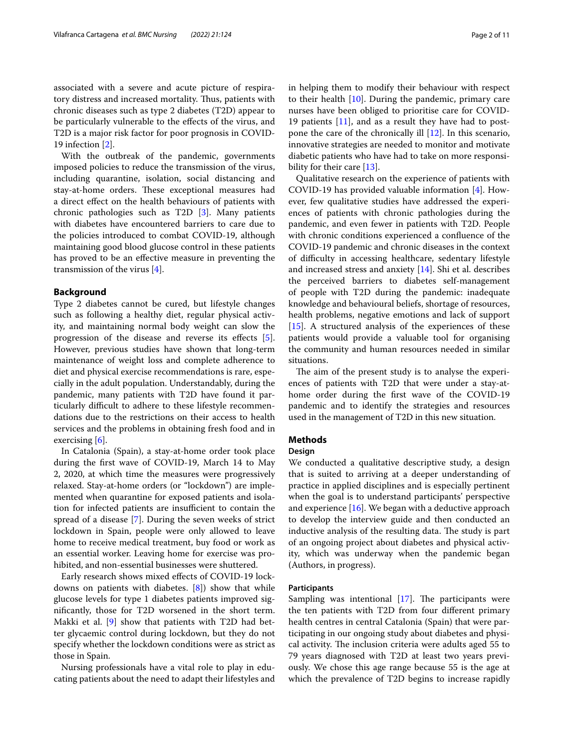associated with a severe and acute picture of respiratory distress and increased mortality. Thus, patients with chronic diseases such as type 2 diabetes (T2D) appear to be particularly vulnerable to the efects of the virus, and T2D is a major risk factor for poor prognosis in COVID-19 infection [[2\]](#page-9-1).

With the outbreak of the pandemic, governments imposed policies to reduce the transmission of the virus, including quarantine, isolation, social distancing and stay-at-home orders. These exceptional measures had a direct efect on the health behaviours of patients with chronic pathologies such as T2D [[3\]](#page-9-2). Many patients with diabetes have encountered barriers to care due to the policies introduced to combat COVID-19, although maintaining good blood glucose control in these patients has proved to be an efective measure in preventing the transmission of the virus [\[4\]](#page-9-3).

#### **Background**

Type 2 diabetes cannot be cured, but lifestyle changes such as following a healthy diet, regular physical activity, and maintaining normal body weight can slow the progression of the disease and reverse its efects [\[5](#page-9-4)]. However, previous studies have shown that long-term maintenance of weight loss and complete adherence to diet and physical exercise recommendations is rare, especially in the adult population. Understandably, during the pandemic, many patients with T2D have found it particularly difficult to adhere to these lifestyle recommendations due to the restrictions on their access to health services and the problems in obtaining fresh food and in exercising [\[6](#page-9-5)].

In Catalonia (Spain), a stay-at-home order took place during the frst wave of COVID-19, March 14 to May 2, 2020, at which time the measures were progressively relaxed. Stay-at-home orders (or "lockdown") are implemented when quarantine for exposed patients and isolation for infected patients are insufficient to contain the spread of a disease [[7](#page-9-6)]. During the seven weeks of strict lockdown in Spain, people were only allowed to leave home to receive medical treatment, buy food or work as an essential worker. Leaving home for exercise was prohibited, and non-essential businesses were shuttered.

Early research shows mixed efects of COVID-19 lockdowns on patients with diabetes. [\[8](#page-9-7)]) show that while glucose levels for type 1 diabetes patients improved signifcantly, those for T2D worsened in the short term. Makki et al. [\[9](#page-9-8)] show that patients with T2D had better glycaemic control during lockdown, but they do not specify whether the lockdown conditions were as strict as those in Spain.

Nursing professionals have a vital role to play in educating patients about the need to adapt their lifestyles and in helping them to modify their behaviour with respect to their health [\[10](#page-9-9)]. During the pandemic, primary care nurses have been obliged to prioritise care for COVID-19 patients [[11\]](#page-9-10), and as a result they have had to postpone the care of the chronically ill [[12\]](#page-9-11). In this scenario, innovative strategies are needed to monitor and motivate diabetic patients who have had to take on more responsi-bility for their care [\[13](#page-9-12)].

Qualitative research on the experience of patients with COVID-19 has provided valuable information [[4\]](#page-9-3). However, few qualitative studies have addressed the experiences of patients with chronic pathologies during the pandemic, and even fewer in patients with T2D. People with chronic conditions experienced a confuence of the COVID-19 pandemic and chronic diseases in the context of difficulty in accessing healthcare, sedentary lifestyle and increased stress and anxiety [[14\]](#page-9-13). Shi et al. describes the perceived barriers to diabetes self-management of people with T2D during the pandemic: inadequate knowledge and behavioural beliefs, shortage of resources, health problems, negative emotions and lack of support [[15\]](#page-9-14). A structured analysis of the experiences of these patients would provide a valuable tool for organising the community and human resources needed in similar situations.

The aim of the present study is to analyse the experiences of patients with T2D that were under a stay-athome order during the frst wave of the COVID-19 pandemic and to identify the strategies and resources used in the management of T2D in this new situation.

# **Methods**

# **Design**

We conducted a qualitative descriptive study, a design that is suited to arriving at a deeper understanding of practice in applied disciplines and is especially pertinent when the goal is to understand participants' perspective and experience [[16](#page-9-15)]. We began with a deductive approach to develop the interview guide and then conducted an inductive analysis of the resulting data. The study is part of an ongoing project about diabetes and physical activity, which was underway when the pandemic began (Authors, in progress).

## **Participants**

Sampling was intentional  $[17]$  $[17]$ . The participants were the ten patients with T2D from four diferent primary health centres in central Catalonia (Spain) that were participating in our ongoing study about diabetes and physical activity. The inclusion criteria were adults aged 55 to 79 years diagnosed with T2D at least two years previously. We chose this age range because 55 is the age at which the prevalence of T2D begins to increase rapidly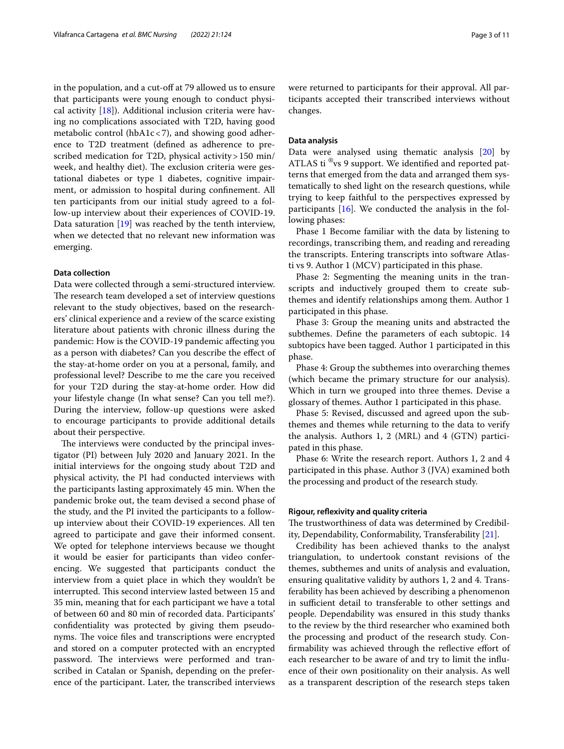in the population, and a cut-off at 79 allowed us to ensure that participants were young enough to conduct physical activity  $[18]$  $[18]$ ). Additional inclusion criteria were having no complications associated with T2D, having good metabolic control (hbA1c<7), and showing good adherence to T2D treatment (defned as adherence to prescribed medication for T2D, physical activity > 150 min/ week, and healthy diet). The exclusion criteria were gestational diabetes or type 1 diabetes, cognitive impairment, or admission to hospital during confnement. All ten participants from our initial study agreed to a follow-up interview about their experiences of COVID-19. Data saturation [[19\]](#page-9-18) was reached by the tenth interview, when we detected that no relevant new information was emerging.

# **Data collection**

Data were collected through a semi-structured interview. The research team developed a set of interview questions relevant to the study objectives, based on the researchers' clinical experience and a review of the scarce existing literature about patients with chronic illness during the pandemic: How is the COVID-19 pandemic afecting you as a person with diabetes? Can you describe the efect of the stay-at-home order on you at a personal, family, and professional level? Describe to me the care you received for your T2D during the stay-at-home order. How did your lifestyle change (In what sense? Can you tell me?). During the interview, follow-up questions were asked to encourage participants to provide additional details about their perspective.

The interviews were conducted by the principal investigator (PI) between July 2020 and January 2021. In the initial interviews for the ongoing study about T2D and physical activity, the PI had conducted interviews with the participants lasting approximately 45 min. When the pandemic broke out, the team devised a second phase of the study, and the PI invited the participants to a followup interview about their COVID-19 experiences. All ten agreed to participate and gave their informed consent. We opted for telephone interviews because we thought it would be easier for participants than video conferencing. We suggested that participants conduct the interview from a quiet place in which they wouldn't be interrupted. This second interview lasted between 15 and 35 min, meaning that for each participant we have a total of between 60 and 80 min of recorded data. Participants' confdentiality was protected by giving them pseudonyms. The voice files and transcriptions were encrypted and stored on a computer protected with an encrypted password. The interviews were performed and transcribed in Catalan or Spanish, depending on the preference of the participant. Later, the transcribed interviews were returned to participants for their approval. All participants accepted their transcribed interviews without changes.

### **Data analysis**

Data were analysed using thematic analysis [[20](#page-9-19)] by ATLAS ti ®vs 9 support. We identifed and reported patterns that emerged from the data and arranged them systematically to shed light on the research questions, while trying to keep faithful to the perspectives expressed by participants  $[16]$  $[16]$  $[16]$ . We conducted the analysis in the following phases:

Phase 1 Become familiar with the data by listening to recordings, transcribing them, and reading and rereading the transcripts. Entering transcripts into software Atlasti vs 9. Author 1 (MCV) participated in this phase.

Phase 2: Segmenting the meaning units in the transcripts and inductively grouped them to create subthemes and identify relationships among them. Author 1 participated in this phase.

Phase 3: Group the meaning units and abstracted the subthemes. Defne the parameters of each subtopic. 14 subtopics have been tagged. Author 1 participated in this phase.

Phase 4: Group the subthemes into overarching themes (which became the primary structure for our analysis). Which in turn we grouped into three themes. Devise a glossary of themes. Author 1 participated in this phase.

Phase 5: Revised, discussed and agreed upon the subthemes and themes while returning to the data to verify the analysis. Authors 1, 2 (MRL) and 4 (GTN) participated in this phase.

Phase 6: Write the research report. Authors 1, 2 and 4 participated in this phase. Author 3 (JVA) examined both the processing and product of the research study.

#### **Rigour, refexivity and quality criteria**

The trustworthiness of data was determined by Credibility, Dependability, Conformability, Transferability [\[21](#page-10-0)].

Credibility has been achieved thanks to the analyst triangulation, to undertook constant revisions of the themes, subthemes and units of analysis and evaluation, ensuring qualitative validity by authors 1, 2 and 4. Transferability has been achieved by describing a phenomenon in sufficient detail to transferable to other settings and people. Dependability was ensured in this study thanks to the review by the third researcher who examined both the processing and product of the research study. Confrmability was achieved through the refective efort of each researcher to be aware of and try to limit the infuence of their own positionality on their analysis. As well as a transparent description of the research steps taken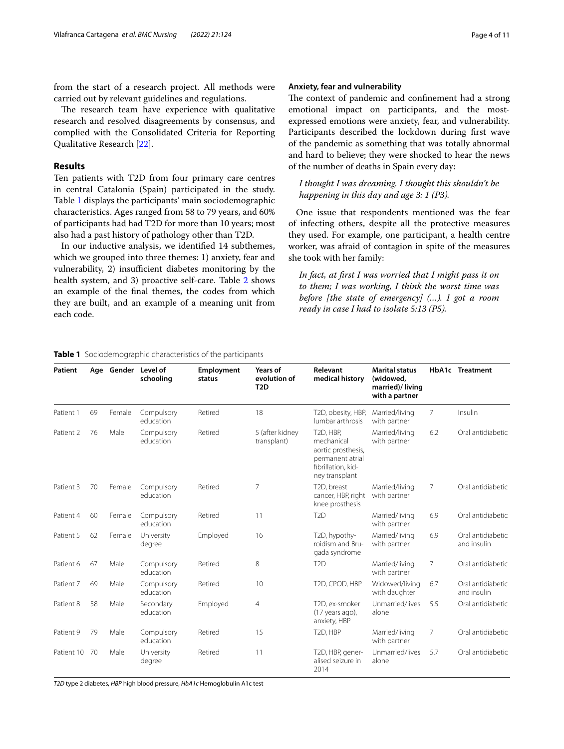from the start of a research project. All methods were carried out by relevant guidelines and regulations.

The research team have experience with qualitative research and resolved disagreements by consensus, and complied with the Consolidated Criteria for Reporting Qualitative Research [[22\]](#page-10-1).

# **Results**

Ten patients with T2D from four primary care centres in central Catalonia (Spain) participated in the study. Table [1](#page-3-0) displays the participants' main sociodemographic characteristics. Ages ranged from 58 to 79 years, and 60% of participants had had T2D for more than 10 years; most also had a past history of pathology other than T2D.

In our inductive analysis, we identifed 14 subthemes, which we grouped into three themes: 1) anxiety, fear and vulnerability, 2) insufficient diabetes monitoring by the health system, and 3) proactive self-care. Table [2](#page-4-0) shows an example of the fnal themes, the codes from which they are built, and an example of a meaning unit from each code.

# **Anxiety, fear and vulnerability**

The context of pandemic and confinement had a strong emotional impact on participants, and the mostexpressed emotions were anxiety, fear, and vulnerability. Participants described the lockdown during frst wave of the pandemic as something that was totally abnormal and hard to believe; they were shocked to hear the news of the number of deaths in Spain every day:

# *I thought I was dreaming. I thought this shouldn't be happening in this day and age 3: 1 (P3).*

One issue that respondents mentioned was the fear of infecting others, despite all the protective measures they used. For example, one participant, a health centre worker, was afraid of contagion in spite of the measures she took with her family:

*In fact, at frst I was worried that I might pass it on to them; I was working, I think the worst time was before [the state of emergency] (…). I got a room ready in case I had to isolate 5:13 (P5).*

# <span id="page-3-0"></span>**Table 1** Sociodemographic characteristics of the participants

| <b>Patient</b> |    |        | Age Gender Level of<br>schooling | Employment<br>status | Years of<br>evolution of<br>T <sub>2</sub> D | Relevant<br>medical history                                                                                                       | <b>Marital status</b><br>(widowed,<br>married)/living<br>with a partner |     | HbA1c Treatment                  |
|----------------|----|--------|----------------------------------|----------------------|----------------------------------------------|-----------------------------------------------------------------------------------------------------------------------------------|-------------------------------------------------------------------------|-----|----------------------------------|
| Patient 1      | 69 | Female | Compulsory<br>education          | Retired              | 18                                           | T2D, obesity, HBP,<br>lumbar arthrosis                                                                                            | Married/living<br>with partner                                          | 7   | Insulin                          |
| Patient 2      | 76 | Male   | Compulsory<br>education          | Retired              | 5 (after kidney<br>transplant)               | T <sub>2</sub> D, H <sub>BP</sub><br>mechanical<br>aortic prosthesis,<br>permanent atrial<br>fibrillation, kid-<br>ney transplant | Married/living<br>with partner                                          | 6.2 | Oral antidiabetic                |
| Patient 3      | 70 | Female | Compulsory<br>education          | Retired              | 7                                            | T2D. breast<br>cancer, HBP, right<br>knee prosthesis                                                                              | Married/living<br>with partner                                          | 7   | Oral antidiabetic                |
| Patient 4      | 60 | Female | Compulsory<br>education          | Retired              | 11                                           | T <sub>2</sub> D                                                                                                                  | Married/living<br>with partner                                          | 6.9 | Oral antidiabetic                |
| Patient 5      | 62 | Female | University<br>degree             | Employed             | 16                                           | T2D, hypothy-<br>roidism and Bru-<br>gada syndrome                                                                                | Married/living<br>with partner                                          | 6.9 | Oral antidiabetic<br>and insulin |
| Patient 6      | 67 | Male   | Compulsory<br>education          | Retired              | 8                                            | T <sub>2</sub> D                                                                                                                  | Married/living<br>with partner                                          | 7   | Oral antidiabetic                |
| Patient 7      | 69 | Male   | Compulsory<br>education          | Retired              | 10                                           | T2D, CPOD, HBP                                                                                                                    | Widowed/living<br>with daughter                                         | 6.7 | Oral antidiabetic<br>and insulin |
| Patient 8      | 58 | Male   | Secondary<br>education           | Employed             | $\overline{4}$                               | T2D, ex-smoker<br>(17 years ago),<br>anxiety, HBP                                                                                 | Unmarried/lives<br>alone                                                | 5.5 | Oral antidiabetic                |
| Patient 9      | 79 | Male   | Compulsory<br>education          | Retired              | 15                                           | T <sub>2</sub> D, HBP                                                                                                             | Married/living<br>with partner                                          | 7   | Oral antidiabetic                |
| Patient 10 70  |    | Male   | University<br>degree             | Retired              | 11                                           | T2D, HBP, gener-<br>alised seizure in<br>2014                                                                                     | Unmarried/lives<br>alone                                                | 5.7 | Oral antidiabetic                |

*T2D* type 2 diabetes, *HBP* high blood pressure, *HbA1c* Hemoglobulin A1c test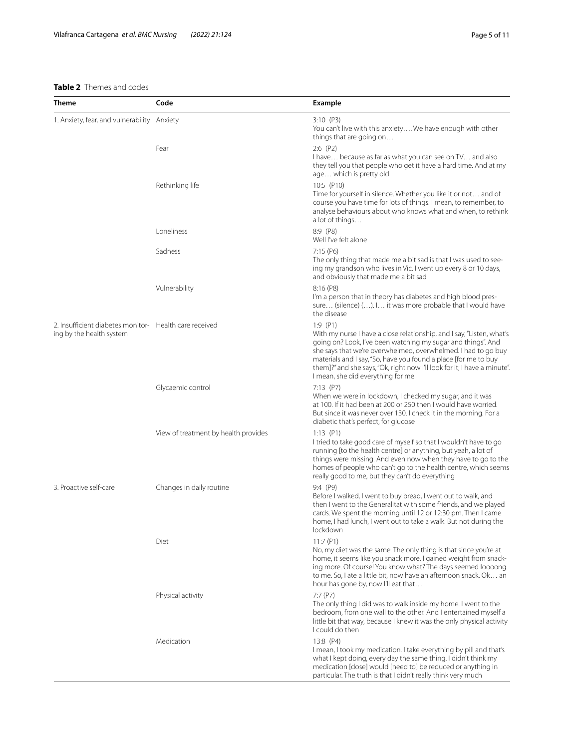# <span id="page-4-0"></span>**Table 2** Themes and codes

| Theme                                                                              | Code                                 | Example                                                                                                                                                                                                                                                                                                                                                                                               |  |  |
|------------------------------------------------------------------------------------|--------------------------------------|-------------------------------------------------------------------------------------------------------------------------------------------------------------------------------------------------------------------------------------------------------------------------------------------------------------------------------------------------------------------------------------------------------|--|--|
| 1. Anxiety, fear, and vulnerability Anxiety                                        |                                      | 3:10(P3)<br>You can't live with this anxiety We have enough with other<br>things that are going on                                                                                                                                                                                                                                                                                                    |  |  |
|                                                                                    | Fear                                 | $2:6$ (P2)<br>I have because as far as what you can see on TV and also<br>they tell you that people who get it have a hard time. And at my<br>age which is pretty old                                                                                                                                                                                                                                 |  |  |
|                                                                                    | Rethinking life                      | 10:5 (P10)<br>Time for yourself in silence. Whether you like it or not and of<br>course you have time for lots of things. I mean, to remember, to<br>analyse behaviours about who knows what and when, to rethink<br>a lot of things                                                                                                                                                                  |  |  |
|                                                                                    | Loneliness                           | 8:9 (P8)<br>Well I've felt alone                                                                                                                                                                                                                                                                                                                                                                      |  |  |
|                                                                                    | Sadness                              | 7:15(P6)<br>The only thing that made me a bit sad is that I was used to see-<br>ing my grandson who lives in Vic. I went up every 8 or 10 days,<br>and obviously that made me a bit sad                                                                                                                                                                                                               |  |  |
|                                                                                    | Vulnerability                        | 8:16(P8)<br>I'm a person that in theory has diabetes and high blood pres-<br>sure (silence) (). I it was more probable that I would have<br>the disease                                                                                                                                                                                                                                               |  |  |
| 2. Insufficient diabetes monitor- Health care received<br>ing by the health system |                                      | 1:9(P1)<br>With my nurse I have a close relationship, and I say, "Listen, what's<br>going on? Look, I've been watching my sugar and things". And<br>she says that we're overwhelmed, overwhelmed. I had to go buy<br>materials and I say, "So, have you found a place [for me to buy<br>them]?" and she says, "Ok, right now I'll look for it; I have a minute".<br>I mean, she did everything for me |  |  |
|                                                                                    | Glycaemic control                    | 7:13 (P7)<br>When we were in lockdown, I checked my sugar, and it was<br>at 100. If it had been at 200 or 250 then I would have worried.<br>But since it was never over 130. I check it in the morning. For a<br>diabetic that's perfect, for glucose                                                                                                                                                 |  |  |
|                                                                                    | View of treatment by health provides | 1:13 $(P1)$<br>I tried to take good care of myself so that I wouldn't have to go<br>running [to the health centre] or anything, but yeah, a lot of<br>things were missing. And even now when they have to go to the<br>homes of people who can't go to the health centre, which seems<br>really good to me, but they can't do everything                                                              |  |  |
| 3. Proactive self-care                                                             | Changes in daily routine             | 9:4 (P9)<br>Before I walked, I went to buy bread, I went out to walk, and<br>then I went to the Generalitat with some friends, and we played<br>cards. We spent the morning until 12 or 12:30 pm. Then I came<br>home, I had lunch, I went out to take a walk. But not during the<br>lockdown                                                                                                         |  |  |
|                                                                                    | Diet                                 | 11:7(P1)<br>No, my diet was the same. The only thing is that since you're at<br>home, it seems like you snack more. I gained weight from snack-<br>ing more. Of course! You know what? The days seemed loooong<br>to me. So, I ate a little bit, now have an afternoon snack. Ok an<br>hour has gone by, now I'll eat that                                                                            |  |  |
|                                                                                    | Physical activity                    | 7:7(P7)<br>The only thing I did was to walk inside my home. I went to the<br>bedroom, from one wall to the other. And I entertained myself a<br>little bit that way, because I knew it was the only physical activity<br>I could do then                                                                                                                                                              |  |  |
|                                                                                    | Medication                           | 13:8 (P4)<br>I mean, I took my medication. I take everything by pill and that's<br>what I kept doing, every day the same thing. I didn't think my<br>medication [dose] would [need to] be reduced or anything in<br>particular. The truth is that I didn't really think very much                                                                                                                     |  |  |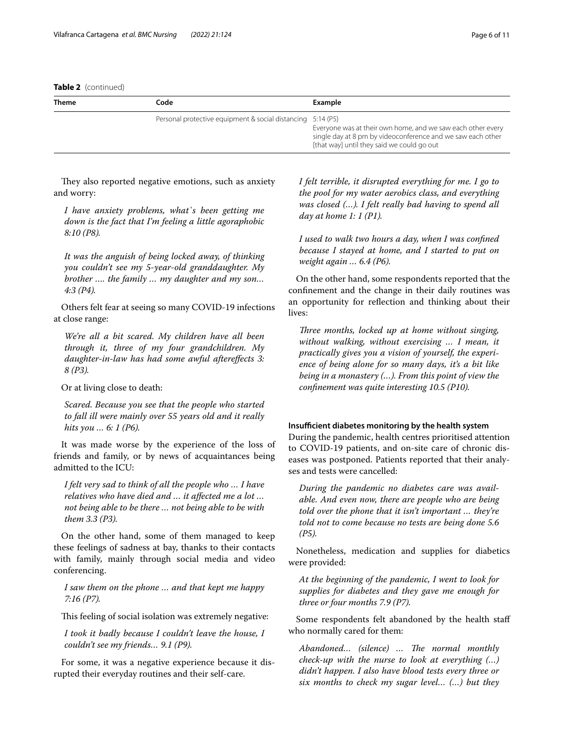**Table 2** (continued)

| <b>Theme</b> | Code                                                        | Example                                                                                                                                                                  |  |  |
|--------------|-------------------------------------------------------------|--------------------------------------------------------------------------------------------------------------------------------------------------------------------------|--|--|
|              | Personal protective equipment & social distancing 5:14 (P5) | Everyone was at their own home, and we saw each other every<br>single day at 8 pm by videoconference and we saw each other<br>[that way] until they said we could go out |  |  |

They also reported negative emotions, such as anxiety and worry:

*I have anxiety problems, what`s been getting me down is the fact that I'm feeling a little agoraphobic 8:10 (P8).*

*It was the anguish of being locked away, of thinking you couldn't see my 5-year-old granddaughter. My brother …. the family … my daughter and my son… 4:3 (P4).*

Others felt fear at seeing so many COVID-19 infections at close range:

*We're all a bit scared. My children have all been through it, three of my four grandchildren. My daughter-in-law has had some awful afterefects 3: 8 (P3).*

Or at living close to death:

*Scared. Because you see that the people who started to fall ill were mainly over 55 years old and it really hits you … 6: 1 (P6).*

It was made worse by the experience of the loss of friends and family, or by news of acquaintances being admitted to the ICU:

*I felt very sad to think of all the people who … I have relatives who have died and … it afected me a lot … not being able to be there … not being able to be with them 3.3 (P3).*

On the other hand, some of them managed to keep these feelings of sadness at bay, thanks to their contacts with family, mainly through social media and video conferencing.

*I saw them on the phone … and that kept me happy 7:16 (P7).*

This feeling of social isolation was extremely negative:

*I took it badly because I couldn't leave the house, I couldn't see my friends… 9.1 (P9).*

For some, it was a negative experience because it disrupted their everyday routines and their self-care.

*I felt terrible, it disrupted everything for me. I go to the pool for my water aerobics class, and everything was closed (…). I felt really bad having to spend all day at home 1: 1 (P1).*

*I used to walk two hours a day, when I was confned because I stayed at home, and I started to put on weight again … 6.4 (P6).*

On the other hand, some respondents reported that the confnement and the change in their daily routines was an opportunity for refection and thinking about their lives:

*Three months, locked up at home without singing, without walking, without exercising … I mean, it practically gives you a vision of yourself, the experience of being alone for so many days, it's a bit like being in a monastery (…). From this point of view the confnement was quite interesting 10.5 (P10).*

## **Insufcient diabetes monitoring by the health system**

During the pandemic, health centres prioritised attention to COVID-19 patients, and on-site care of chronic diseases was postponed. Patients reported that their analyses and tests were cancelled:

*During the pandemic no diabetes care was available. And even now, there are people who are being told over the phone that it isn't important … they're told not to come because no tests are being done 5.6 (P5).*

Nonetheless, medication and supplies for diabetics were provided:

*At the beginning of the pandemic, I went to look for supplies for diabetes and they gave me enough for three or four months 7.9 (P7).*

Some respondents felt abandoned by the health staff who normally cared for them:

*Abandoned...* (silence) ... The normal monthly *check-up with the nurse to look at everything (…) didn't happen. I also have blood tests every three or six months to check my sugar level… (…) but they*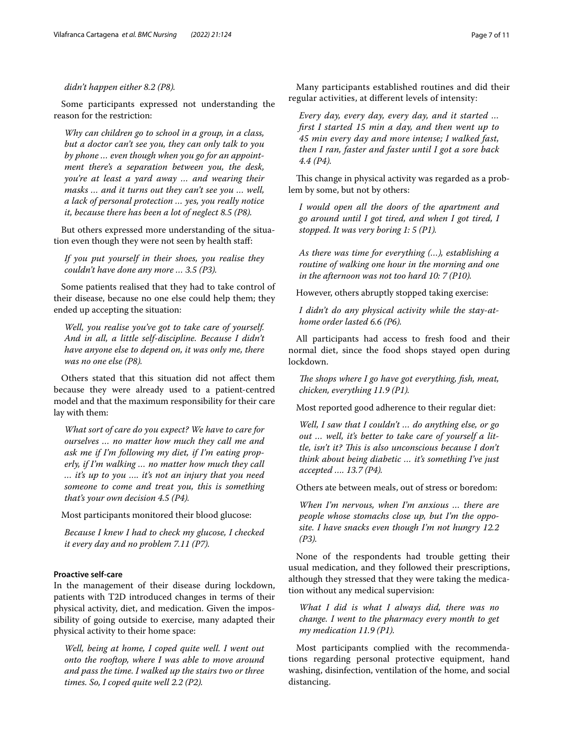# *didn't happen either 8.2 (P8).*

Some participants expressed not understanding the reason for the restriction:

*Why can children go to school in a group, in a class, but a doctor can't see you, they can only talk to you by phone … even though when you go for an appointment there's a separation between you, the desk, you're at least a yard away … and wearing their masks … and it turns out they can't see you … well, a lack of personal protection … yes, you really notice it, because there has been a lot of neglect 8.5 (P8).*

But others expressed more understanding of the situation even though they were not seen by health staf:

*If you put yourself in their shoes, you realise they couldn't have done any more … 3.5 (P3).*

Some patients realised that they had to take control of their disease, because no one else could help them; they ended up accepting the situation:

*Well, you realise you've got to take care of yourself. And in all, a little self-discipline. Because I didn't have anyone else to depend on, it was only me, there was no one else (P8).*

Others stated that this situation did not afect them because they were already used to a patient-centred model and that the maximum responsibility for their care lay with them:

*What sort of care do you expect? We have to care for ourselves … no matter how much they call me and ask me if I'm following my diet, if I'm eating properly, if I'm walking … no matter how much they call … it's up to you …. it's not an injury that you need someone to come and treat you, this is something that's your own decision 4.5 (P4).*

Most participants monitored their blood glucose:

*Because I knew I had to check my glucose, I checked it every day and no problem 7.11 (P7).*

# **Proactive self‑care**

In the management of their disease during lockdown, patients with T2D introduced changes in terms of their physical activity, diet, and medication. Given the impossibility of going outside to exercise, many adapted their physical activity to their home space:

*Well, being at home, I coped quite well. I went out onto the rooftop, where I was able to move around and pass the time. I walked up the stairs two or three times. So, I coped quite well 2.2 (P2).*

Many participants established routines and did their regular activities, at diferent levels of intensity:

*Every day, every day, every day, and it started … frst I started 15 min a day, and then went up to 45 min every day and more intense; I walked fast, then I ran, faster and faster until I got a sore back 4.4 (P4).*

This change in physical activity was regarded as a problem by some, but not by others:

*I would open all the doors of the apartment and go around until I got tired, and when I got tired, I stopped. It was very boring 1: 5 (P1).*

*As there was time for everything (…), establishing a routine of walking one hour in the morning and one in the afternoon was not too hard 10: 7 (P10).*

However, others abruptly stopped taking exercise:

*I didn't do any physical activity while the stay-athome order lasted 6.6 (P6).*

All participants had access to fresh food and their normal diet, since the food shops stayed open during lockdown.

*The shops where I go have got everything, fish, meat, chicken, everything 11.9 (P1).*

Most reported good adherence to their regular diet:

*Well, I saw that I couldn't … do anything else, or go out … well, it's better to take care of yourself a little, isn't it? Tis is also unconscious because I don't think about being diabetic … it's something I've just accepted …. 13.7 (P4).*

Others ate between meals, out of stress or boredom:

*When I'm nervous, when I'm anxious … there are people whose stomachs close up, but I'm the opposite. I have snacks even though I'm not hungry 12.2 (P3).*

None of the respondents had trouble getting their usual medication, and they followed their prescriptions, although they stressed that they were taking the medication without any medical supervision:

*What I did is what I always did, there was no change. I went to the pharmacy every month to get my medication 11.9 (P1).*

Most participants complied with the recommendations regarding personal protective equipment, hand washing, disinfection, ventilation of the home, and social distancing.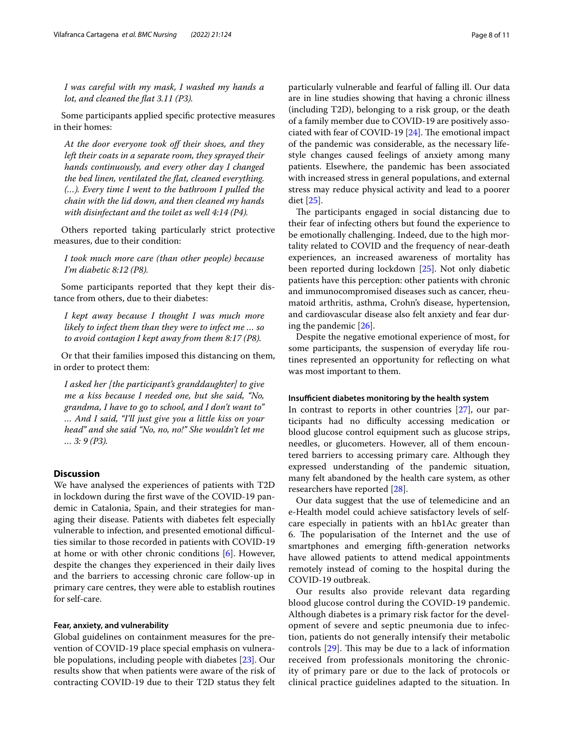*I was careful with my mask, I washed my hands a lot, and cleaned the fat 3.11 (P3).*

Some participants applied specifc protective measures in their homes:

*At the door everyone took of their shoes, and they left their coats in a separate room, they sprayed their hands continuously, and every other day I changed the bed linen, ventilated the fat, cleaned everything. (…). Every time I went to the bathroom I pulled the chain with the lid down, and then cleaned my hands with disinfectant and the toilet as well 4:14 (P4).*

Others reported taking particularly strict protective measures, due to their condition:

*I took much more care (than other people) because I'm diabetic 8:12 (P8).*

Some participants reported that they kept their distance from others, due to their diabetes:

*I kept away because I thought I was much more likely to infect them than they were to infect me … so to avoid contagion I kept away from them 8:17 (P8).*

Or that their families imposed this distancing on them, in order to protect them:

*I asked her [the participant's granddaughter] to give me a kiss because I needed one, but she said, "No, grandma, I have to go to school, and I don't want to" … And I said, "I'll just give you a little kiss on your head" and she said "No, no, no!" She wouldn't let me … 3: 9 (P3).*

# **Discussion**

We have analysed the experiences of patients with T2D in lockdown during the frst wave of the COVID-19 pandemic in Catalonia, Spain, and their strategies for managing their disease. Patients with diabetes felt especially vulnerable to infection, and presented emotional difficulties similar to those recorded in patients with COVID-19 at home or with other chronic conditions [\[6](#page-9-5)]. However, despite the changes they experienced in their daily lives and the barriers to accessing chronic care follow-up in primary care centres, they were able to establish routines for self-care.

#### **Fear, anxiety, and vulnerability**

Global guidelines on containment measures for the prevention of COVID-19 place special emphasis on vulnerable populations, including people with diabetes [[23\]](#page-10-2). Our results show that when patients were aware of the risk of contracting COVID-19 due to their T2D status they felt particularly vulnerable and fearful of falling ill. Our data are in line studies showing that having a chronic illness (including T2D), belonging to a risk group, or the death of a family member due to COVID-19 are positively associated with fear of COVID-19  $[24]$  $[24]$ . The emotional impact of the pandemic was considerable, as the necessary lifestyle changes caused feelings of anxiety among many patients. Elsewhere, the pandemic has been associated with increased stress in general populations, and external stress may reduce physical activity and lead to a poorer diet [[25\]](#page-10-4).

The participants engaged in social distancing due to their fear of infecting others but found the experience to be emotionally challenging. Indeed, due to the high mortality related to COVID and the frequency of near-death experiences, an increased awareness of mortality has been reported during lockdown [[25\]](#page-10-4). Not only diabetic patients have this perception: other patients with chronic and immunocompromised diseases such as cancer, rheumatoid arthritis, asthma, Crohn's disease, hypertension, and cardiovascular disease also felt anxiety and fear during the pandemic [[26\]](#page-10-5).

Despite the negative emotional experience of most, for some participants, the suspension of everyday life routines represented an opportunity for refecting on what was most important to them.

#### **Insufcient diabetes monitoring by the health system**

In contrast to reports in other countries [\[27](#page-10-6)], our participants had no difficulty accessing medication or blood glucose control equipment such as glucose strips, needles, or glucometers. However, all of them encountered barriers to accessing primary care. Although they expressed understanding of the pandemic situation, many felt abandoned by the health care system, as other researchers have reported [[28\]](#page-10-7).

Our data suggest that the use of telemedicine and an e-Health model could achieve satisfactory levels of selfcare especially in patients with an hb1Ac greater than 6. The popularisation of the Internet and the use of smartphones and emerging ffth-generation networks have allowed patients to attend medical appointments remotely instead of coming to the hospital during the COVID-19 outbreak.

Our results also provide relevant data regarding blood glucose control during the COVID-19 pandemic. Although diabetes is a primary risk factor for the development of severe and septic pneumonia due to infection, patients do not generally intensify their metabolic controls  $[29]$  $[29]$ . This may be due to a lack of information received from professionals monitoring the chronicity of primary pare or due to the lack of protocols or clinical practice guidelines adapted to the situation. In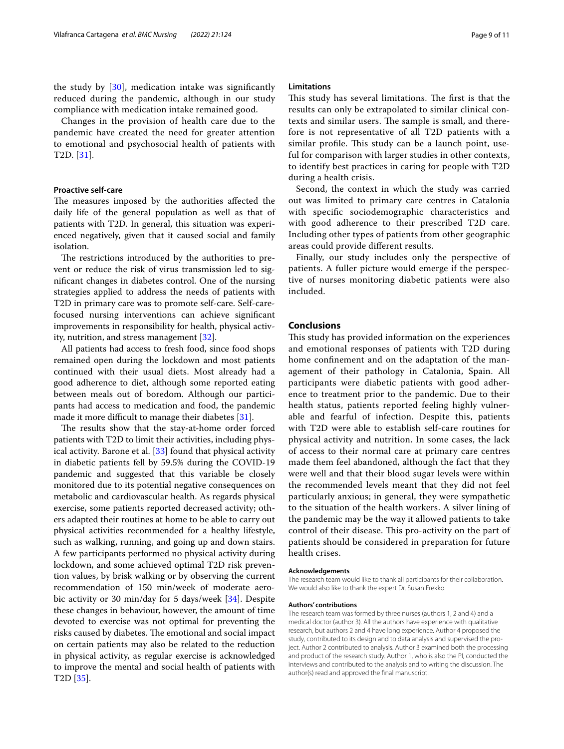the study by  $[30]$ , medication intake was significantly reduced during the pandemic, although in our study compliance with medication intake remained good.

Changes in the provision of health care due to the pandemic have created the need for greater attention to emotional and psychosocial health of patients with T2D. [[31\]](#page-10-10).

# **Proactive self‑care**

The measures imposed by the authorities affected the daily life of the general population as well as that of patients with T2D. In general, this situation was experienced negatively, given that it caused social and family isolation.

The restrictions introduced by the authorities to prevent or reduce the risk of virus transmission led to signifcant changes in diabetes control. One of the nursing strategies applied to address the needs of patients with T2D in primary care was to promote self-care. Self-carefocused nursing interventions can achieve signifcant improvements in responsibility for health, physical activity, nutrition, and stress management [[32\]](#page-10-11).

All patients had access to fresh food, since food shops remained open during the lockdown and most patients continued with their usual diets. Most already had a good adherence to diet, although some reported eating between meals out of boredom. Although our participants had access to medication and food, the pandemic made it more difficult to manage their diabetes  $[31]$  $[31]$ .

The results show that the stay-at-home order forced patients with T2D to limit their activities, including physical activity. Barone et al. [\[33](#page-10-12)] found that physical activity in diabetic patients fell by 59.5% during the COVID-19 pandemic and suggested that this variable be closely monitored due to its potential negative consequences on metabolic and cardiovascular health. As regards physical exercise, some patients reported decreased activity; others adapted their routines at home to be able to carry out physical activities recommended for a healthy lifestyle, such as walking, running, and going up and down stairs. A few participants performed no physical activity during lockdown, and some achieved optimal T2D risk prevention values, by brisk walking or by observing the current recommendation of 150 min/week of moderate aerobic activity or 30 min/day for 5 days/week [[34\]](#page-10-13). Despite these changes in behaviour, however, the amount of time devoted to exercise was not optimal for preventing the risks caused by diabetes. The emotional and social impact on certain patients may also be related to the reduction in physical activity, as regular exercise is acknowledged to improve the mental and social health of patients with T2D [[35\]](#page-10-14).

## **Limitations**

This study has several limitations. The first is that the results can only be extrapolated to similar clinical contexts and similar users. The sample is small, and therefore is not representative of all T2D patients with a similar profile. This study can be a launch point, useful for comparison with larger studies in other contexts, to identify best practices in caring for people with T2D during a health crisis.

Second, the context in which the study was carried out was limited to primary care centres in Catalonia with specifc sociodemographic characteristics and with good adherence to their prescribed T2D care. Including other types of patients from other geographic areas could provide diferent results.

Finally, our study includes only the perspective of patients. A fuller picture would emerge if the perspective of nurses monitoring diabetic patients were also included.

# **Conclusions**

This study has provided information on the experiences and emotional responses of patients with T2D during home confnement and on the adaptation of the management of their pathology in Catalonia, Spain. All participants were diabetic patients with good adherence to treatment prior to the pandemic. Due to their health status, patients reported feeling highly vulnerable and fearful of infection. Despite this, patients with T2D were able to establish self-care routines for physical activity and nutrition. In some cases, the lack of access to their normal care at primary care centres made them feel abandoned, although the fact that they were well and that their blood sugar levels were within the recommended levels meant that they did not feel particularly anxious; in general, they were sympathetic to the situation of the health workers. A silver lining of the pandemic may be the way it allowed patients to take control of their disease. This pro-activity on the part of patients should be considered in preparation for future health crises.

#### **Acknowledgements**

The research team would like to thank all participants for their collaboration. We would also like to thank the expert Dr. Susan Frekko.

#### **Authors' contributions**

The research team was formed by three nurses (authors 1, 2 and 4) and a medical doctor (author 3). All the authors have experience with qualitative research, but authors 2 and 4 have long experience. Author 4 proposed the study, contributed to its design and to data analysis and supervised the project. Author 2 contributed to analysis. Author 3 examined both the processing and product of the research study. Author 1, who is also the PI, conducted the interviews and contributed to the analysis and to writing the discussion. The author(s) read and approved the fnal manuscript.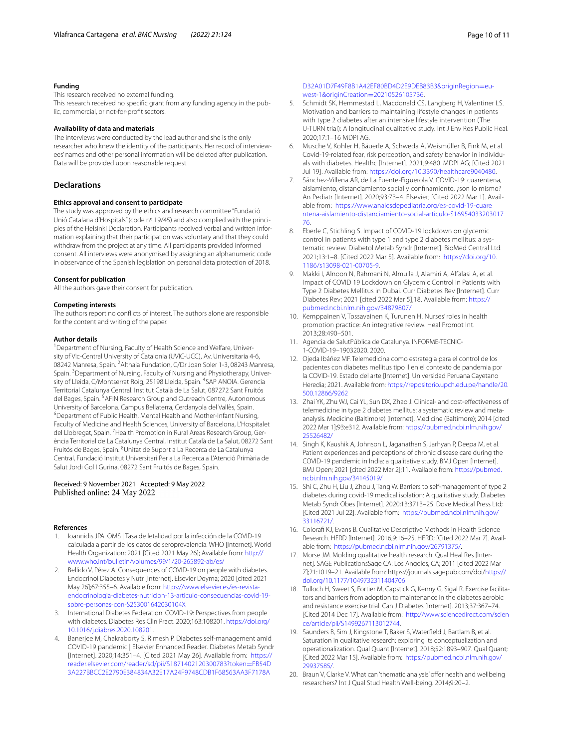#### **Funding**

This research received no external funding.

This research received no specific grant from any funding agency in the public, commercial, or not-for-proft sectors.

#### **Availability of data and materials**

The interviews were conducted by the lead author and she is the only researcher who knew the identity of the participants. Her record of interviewees' names and other personal information will be deleted after publication. Data will be provided upon reasonable request.

# **Declarations**

#### **Ethics approval and consent to participate**

The study was approved by the ethics and research committee "Fundació Unió Catalana d'Hospitals" (code nº 19/45) and also complied with the principles of the Helsinki Declaration. Participants received verbal and written information explaining that their participation was voluntary and that they could withdraw from the project at any time. All participants provided informed consent. All interviews were anonymised by assigning an alphanumeric code in observance of the Spanish legislation on personal data protection of 2018.

#### **Consent for publication**

All the authors gave their consent for publication.

#### **Competing interests**

The authors report no conficts of interest. The authors alone are responsible for the content and writing of the paper.

#### **Author details**

<sup>1</sup> Department of Nursing, Faculty of Health Science and Welfare, University of Vic-Central University of Catalonia (UVIC-UCC), Av. Universitaria 4-6, 08242 Manresa, Spain. <sup>2</sup> Althaia Fundation, C/Dr Joan Soler 1-3, 08243 Manresa, Spain. <sup>3</sup> Department of Nursing, Faculty of Nursing and Physiotherapy, University of Lleida, C/Montserrat Roig, 25198 Lleida, Spain. <sup>4</sup>SAP ANOIA. Gerencia Territorial Catalunya Central. Institut Català de La Salut, 087272 Sant Fruitós del Bages, Spain. <sup>5</sup> AFIN Research Group and Outreach Centre, Autonomous University of Barcelona. Campus Bellaterra, Cerdanyola del Vallès, Spain. 6 <sup>6</sup> Department of Public Health, Mental Health and Mother-Infant Nursing, Faculty of Medicine and Health Sciences, University of Barcelona, L'Hospitalet del Llobregat, Spain. <sup>7</sup> Health Promotion in Rural Areas Research Group, Gerència Territorial de La Catalunya Central, Institut Català de La Salut, 08272 Sant Fruitós de Bages, Spain. <sup>8</sup>Unitat de Suport a La Recerca de La Catalunya Central, Fundació Institut Universitari Per a La Recerca a L'Atenció Primària de Salut Jordi Gol I Gurina, 08272 Sant Fruitós de Bages, Spain.

# Received: 9 November 2021 Accepted: 9 May 2022 Published online: 24 May 2022

#### **References**

- <span id="page-9-0"></span>10annidis JPA. OMS | Tasa de letalidad por la infección de la COVID-19 calculada a partir de los datos de seroprevalencia. WHO [Internet]. World Health Organization; 2021 [Cited 2021 May 26]; Available from: [http://](http://www.who.int/bulletin/volumes/99/1/20-265892-ab/es/) [www.who.int/bulletin/volumes/99/1/20-265892-ab/es/](http://www.who.int/bulletin/volumes/99/1/20-265892-ab/es/)
- <span id="page-9-1"></span>2. Bellido V, Pérez A. Consequences of COVID-19 on people with diabetes. Endocrinol Diabetes y Nutr [Internet]. Elsevier Doyma; 2020 [cited 2021 May 26];67:355–6. Available from: [https://www.elsevier.es/es-revista](https://www.elsevier.es/es-revista-endocrinologia-diabetes-nutricion-13-articulo-consecuencias-covid-19-sobre-personas-con-S253001642030104X) [endocrinologia-diabetes-nutricion-13-articulo-consecuencias-covid-19](https://www.elsevier.es/es-revista-endocrinologia-diabetes-nutricion-13-articulo-consecuencias-covid-19-sobre-personas-con-S253001642030104X) [sobre-personas-con-S253001642030104X](https://www.elsevier.es/es-revista-endocrinologia-diabetes-nutricion-13-articulo-consecuencias-covid-19-sobre-personas-con-S253001642030104X)
- <span id="page-9-2"></span>3. International Diabetes Federation. COVID-19: Perspectives from people with diabetes. Diabetes Res Clin Pract. 2020;163:108201. [https://doi.org/](https://doi.org/10.1016/j.diabres.2020.108201) [10.1016/j.diabres.2020.108201](https://doi.org/10.1016/j.diabres.2020.108201).
- <span id="page-9-3"></span>4. Banerjee M, Chakraborty S, Rimesh P. Diabetes self-management amid COVID-19 pandemic | Elsevier Enhanced Reader. Diabetes Metab Syndr [Internet]. 2020;14:351–4. [Cited 2021 May 26]. Available from: [https://](https://reader.elsevier.com/reader/sd/pii/S1871402120300783?token=FB54D3A227BBCC2E2790E384834A32E17A24F9748CDB1F68563AA3F7178AD32A01D7F49F8B1A42EF80BD4D2E9DEB83B3&originRegion=eu-west-1&originCreation=20210526105736) [reader.elsevier.com/reader/sd/pii/S1871402120300783?token](https://reader.elsevier.com/reader/sd/pii/S1871402120300783?token=FB54D3A227BBCC2E2790E384834A32E17A24F9748CDB1F68563AA3F7178AD32A01D7F49F8B1A42EF80BD4D2E9DEB83B3&originRegion=eu-west-1&originCreation=20210526105736)=FB54D [3A227BBCC2E2790E384834A32E17A24F9748CDB1F68563AA3F7178A](https://reader.elsevier.com/reader/sd/pii/S1871402120300783?token=FB54D3A227BBCC2E2790E384834A32E17A24F9748CDB1F68563AA3F7178AD32A01D7F49F8B1A42EF80BD4D2E9DEB83B3&originRegion=eu-west-1&originCreation=20210526105736)

[D32A01D7F49F8B1A42EF80BD4D2E9DEB83B3&originRegion](https://reader.elsevier.com/reader/sd/pii/S1871402120300783?token=FB54D3A227BBCC2E2790E384834A32E17A24F9748CDB1F68563AA3F7178AD32A01D7F49F8B1A42EF80BD4D2E9DEB83B3&originRegion=eu-west-1&originCreation=20210526105736)=eu west-1&originCreation=20210526105736.

- <span id="page-9-4"></span>5. [Schmidt SK, Hemmestad L, Macdonald CS](https://reader.elsevier.com/reader/sd/pii/S1871402120300783?token=FB54D3A227BBCC2E2790E384834A32E17A24F9748CDB1F68563AA3F7178AD32A01D7F49F8B1A42EF80BD4D2E9DEB83B3&originRegion=eu-west-1&originCreation=20210526105736), Langberg H, Valentiner LS. Motivation and barriers to maintaining lifestyle changes in patients with type 2 diabetes after an intensive lifestyle intervention (The U-TURN trial): A longitudinal qualitative study. Int J Env Res Public Heal. 2020;17:1–16 MDPI AG.
- <span id="page-9-5"></span>6. Musche V, Kohler H, Bäuerle A, Schweda A, Weismüller B, Fink M, et al. Covid-19-related fear, risk perception, and safety behavior in individuals with diabetes. Healthc [Internet]. 2021;9:480. MDPI AG; [Cited 2021 Jul 19]. Available from: [https://doi.org/10.3390/healthcare9040480.](https://doi.org/10.3390/healthcare9040480)
- <span id="page-9-6"></span>7. Sánchez-Villena AR, de La Fuente-Figuerola V. COVID-19: cuarentena, aislamiento, distanciamiento social y confnamiento, ¿son lo mismo? An Pediatr [Internet]. 2020;93:73-4. Elsevier; [Cited 2022 Mar 1]. Available from: [https://www.analesdepediatria.org/es-covid-19-cuare](https://www.analesdepediatria.org/es-covid-19-cuarentena-aislamiento-distanciamiento-social-articulo-S1695403320301776) [ntena-aislamiento-distanciamiento-social-articulo-S16954033203017](https://www.analesdepediatria.org/es-covid-19-cuarentena-aislamiento-distanciamiento-social-articulo-S1695403320301776) [76](https://www.analesdepediatria.org/es-covid-19-cuarentena-aislamiento-distanciamiento-social-articulo-S1695403320301776).
- <span id="page-9-7"></span>8. Eberle C, Stichling S. Impact of COVID-19 lockdown on glycemic control in patients with type 1 and type 2 diabetes mellitus: a systematic review. Diabetol Metab Syndr [Internet]. BioMed Central Ltd. 2021;13:1–8. [Cited 2022 Mar 5]. Available from: [https://doi.org/10.](https://doi.org/10.1186/s13098-021-00705-9) [1186/s13098-021-00705-9](https://doi.org/10.1186/s13098-021-00705-9).
- <span id="page-9-8"></span>9. Makki I, Alnoon N, Rahmani N, Almulla J, Alamiri A, Alfalasi A, et al. Impact of COVID 19 Lockdown on Glycemic Control in Patients with Type 2 Diabetes Mellitus in Dubai. Curr Diabetes Rev [Internet]. Curr Diabetes Rev; 2021 [cited 2022 Mar 5];18. Available from: [https://](https://pubmed.ncbi.nlm.nih.gov/34879807/) [pubmed.ncbi.nlm.nih.gov/34879807/](https://pubmed.ncbi.nlm.nih.gov/34879807/)
- <span id="page-9-9"></span>10. Kemppainen V, Tossavainen K, Turunen H. Nurses' roles in health promotion practice: An integrative review. Heal Promot Int. 2013;28:490–501.
- <span id="page-9-10"></span>11. Agencia de SalutPública de Catalunya. INFORME-TECNIC-1-COVID-19–19032020. 2020.
- <span id="page-9-11"></span>12. Ojeda Ibáñez MF. Telemedicina como estrategia para el control de los pacientes con diabetes mellitus tipo ll en el contexto de pandemia por la COVID-19. Estado del arte [Internet]. Universidad Peruana Cayetano Heredia; 2021. Available from: [https://repositorio.upch.edu.pe/handle/20.](https://repositorio.upch.edu.pe/handle/20.500.12866/9262) [500.12866/9262](https://repositorio.upch.edu.pe/handle/20.500.12866/9262)
- <span id="page-9-12"></span>13. Zhai YK, Zhu WJ, Cai YL, Sun DX, Zhao J. Clinical- and cost-efectiveness of telemedicine in type 2 diabetes mellitus: a systematic review and metaanalysis. Medicine (Baltimore) [Internet]. Medicine (Baltimore); 2014 [cited 2022 Mar 1];93:e312. Available from: [https://pubmed.ncbi.nlm.nih.gov/](https://pubmed.ncbi.nlm.nih.gov/25526482/) [25526482/](https://pubmed.ncbi.nlm.nih.gov/25526482/)
- <span id="page-9-13"></span>14. Singh K, Kaushik A, Johnson L, Jaganathan S, Jarhyan P, Deepa M, et al. Patient experiences and perceptions of chronic disease care during the COVID-19 pandemic in India: a qualitative study. BMJ Open [Internet]. BMJ Open; 2021 [cited 2022 Mar 2];11. Available from: [https://pubmed.](https://pubmed.ncbi.nlm.nih.gov/34145019/) [ncbi.nlm.nih.gov/34145019/](https://pubmed.ncbi.nlm.nih.gov/34145019/)
- <span id="page-9-14"></span>15. Shi C, Zhu H, Liu J, Zhou J, Tang W. Barriers to self-management of type 2 diabetes during covid-19 medical isolation: A qualitative study. Diabetes Metab Syndr Obes [Internet]. 2020;13:3713–25. Dove Medical Press Ltd; [Cited 2021 Jul 22]. Available from: [https://pubmed.ncbi.nlm.nih.gov/](https://pubmed.ncbi.nlm.nih.gov/33116721/) [33116721/.](https://pubmed.ncbi.nlm.nih.gov/33116721/)
- <span id="page-9-15"></span>16. Coloraf KJ, Evans B. Qualitative Descriptive Methods in Health Science Research. HERD [Internet]. 2016;9:16-25. HERD; [Cited 2022 Mar 7]. Available from: [https://pubmed.ncbi.nlm.nih.gov/26791375/.](https://pubmed.ncbi.nlm.nih.gov/26791375/)
- <span id="page-9-16"></span>17. Morse JM. Molding qualitative health research. Qual Heal Res [Internet]. SAGE PublicationsSage CA: Los Angeles, CA; 2011 [cited 2022 Mar 7];21:1019–21. Available from: https://journals.sagepub.com/doi/[https://](https://doi.org/10.1177/1049732311404706) [doi.org/10.1177/1049732311404706](https://doi.org/10.1177/1049732311404706)
- <span id="page-9-17"></span>18. Tulloch H, Sweet S, Fortier M, Capstick G, Kenny G, Sigal R. Exercise facilitators and barriers from adoption to maintenance in the diabetes aerobic and resistance exercise trial. Can J Diabetes [Internet]. 2013;37:367–74. [Cited 2014 Dec 17]. Available from: [http://www.sciencedirect.com/scien](http://www.sciencedirect.com/science/article/pii/S1499267113012744) [ce/article/pii/S1499267113012744](http://www.sciencedirect.com/science/article/pii/S1499267113012744).
- <span id="page-9-18"></span>19. Saunders B, Sim J, Kingstone T, Baker S, Waterfeld J, Bartlam B, et al. Saturation in qualitative research: exploring its conceptualization and operationalization. Qual Quant [Internet]. 2018;52:1893–907. Qual Quant; [Cited 2022 Mar 15]. Available from: [https://pubmed.ncbi.nlm.nih.gov/](https://pubmed.ncbi.nlm.nih.gov/29937585/) [29937585/.](https://pubmed.ncbi.nlm.nih.gov/29937585/)
- <span id="page-9-19"></span>20. Braun V, Clarke V. What can 'thematic analysis' offer health and wellbeing researchers? Int J Qual Stud Health Well-being. 2014;9:20–2.